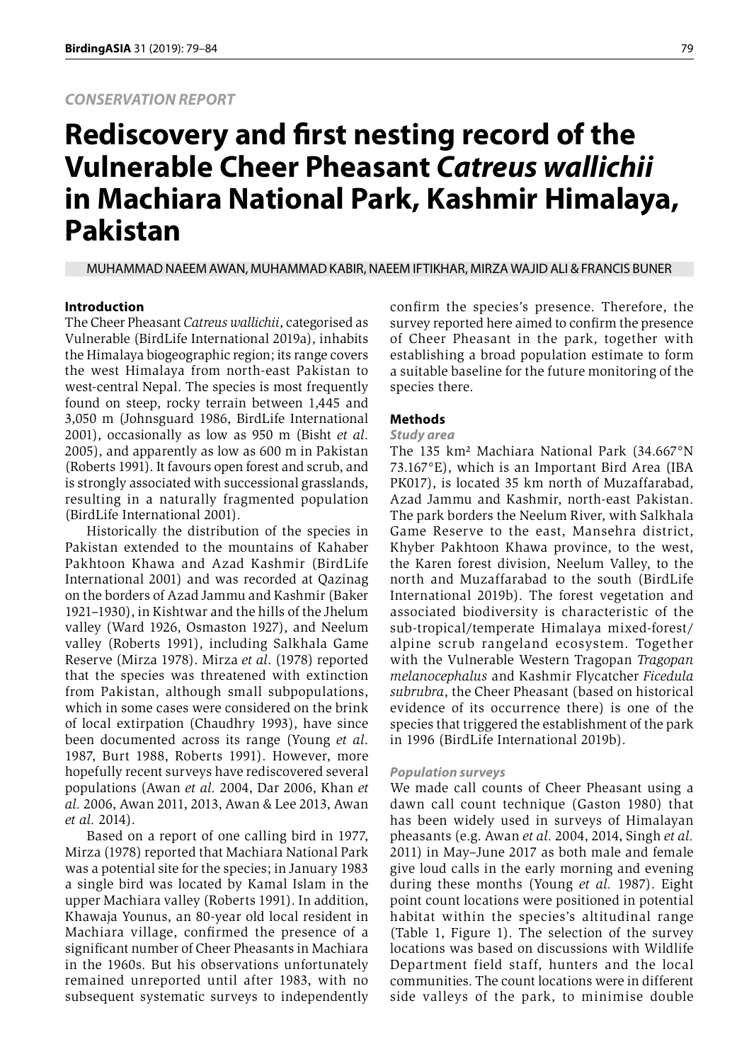# *CONSERVATION REPORT*

# **Rediscovery and first nesting record of the Vulnerable Cheer Pheasant** *Catreus wallichii*  **in Machiara National Park, Kashmir Himalaya, Pakistan**

MUHAMMAD NAEEM AWAN, MUHAMMAD KABIR, NAEEM IFTIKHAR, MIRZA WAJID ALI & FRANCIS BUNER

## **Introduction**

The Cheer Pheasant *Catreus wallichii*, categorised as Vulnerable (BirdLife International 2019a), inhabits the Himalaya biogeographic region; its range covers the west Himalaya from north-east Pakistan to west-central Nepal. The species is most frequently found on steep, rocky terrain between 1,445 and 3,050 m (Johnsguard 1986, BirdLife International 2001), occasionally as low as 950 m (Bisht *et al*. 2005), and apparently as low as 600 m in Pakistan (Roberts 1991). It favours open forest and scrub, and is strongly associated with successional grasslands, resulting in a naturally fragmented population (BirdLife International 2001).

Historically the distribution of the species in Pakistan extended to the mountains of Kahaber Pakhtoon Khawa and Azad Kashmir (BirdLife International 2001) and was recorded at Qazinag on the borders of Azad Jammu and Kashmir (Baker 1921–1930), in Kishtwar and the hills of the Jhelum valley (Ward 1926, Osmaston 1927), and Neelum valley (Roberts 1991), including Salkhala Game Reserve (Mirza 1978). Mirza *et al*. (1978) reported that the species was threatened with extinction from Pakistan, although small subpopulations, which in some cases were considered on the brink of local extirpation (Chaudhry 1993), have since been documented across its range (Young *et al*. 1987, Burt 1988, Roberts 1991). However, more hopefully recent surveys have rediscovered several populations (Awan *et al.* 2004, Dar 2006, Khan *et al.* 2006, Awan 2011, 2013, Awan & Lee 2013, Awan *et al.* 2014).

Based on a report of one calling bird in 1977, Mirza (1978) reported that Machiara National Park was a potential site for the species; in January 1983 a single bird was located by Kamal Islam in the upper Machiara valley (Roberts 1991). In addition, Khawaja Younus, an 80-year old local resident in Machiara village, confirmed the presence of a significant number of Cheer Pheasants in Machiara in the 1960s. But his observations unfortunately remained unreported until after 1983, with no subsequent systematic surveys to independently confirm the species's presence. Therefore, the survey reported here aimed to confirm the presence of Cheer Pheasant in the park, together with establishing a broad population estimate to form a suitable baseline for the future monitoring of the species there.

## **Methods**

## *Study area*

The 135 km² Machiara National Park (34.667°N 73.167°E), which is an Important Bird Area (IBA PK017), is located 35 km north of Muzaffarabad, Azad Jammu and Kashmir, north-east Pakistan. The park borders the Neelum River, with Salkhala Game Reserve to the east, Mansehra district, Khyber Pakhtoon Khawa province, to the west, the Karen forest division, Neelum Valley, to the north and Muzaffarabad to the south (BirdLife International 2019b). The forest vegetation and associated biodiversity is characteristic of the sub-tropical/temperate Himalaya mixed-forest/ alpine scrub rangeland ecosystem. Together with the Vulnerable Western Tragopan *Tragopan melanocephalus* and Kashmir Flycatcher *Ficedula subrubra*, the Cheer Pheasant (based on historical evidence of its occurrence there) is one of the species that triggered the establishment of the park in 1996 (BirdLife International 2019b).

## *Population surveys*

We made call counts of Cheer Pheasant using a dawn call count technique (Gaston 1980) that has been widely used in surveys of Himalayan pheasants (e.g. Awan *et al.* 2004, 2014, Singh *et al.* 2011) in May–June 2017 as both male and female give loud calls in the early morning and evening during these months (Young *et al.* 1987). Eight point count locations were positioned in potential habitat within the species's altitudinal range (Table 1, Figure 1). The selection of the survey locations was based on discussions with Wildlife Department field staff, hunters and the local communities. The count locations were in different side valleys of the park, to minimise double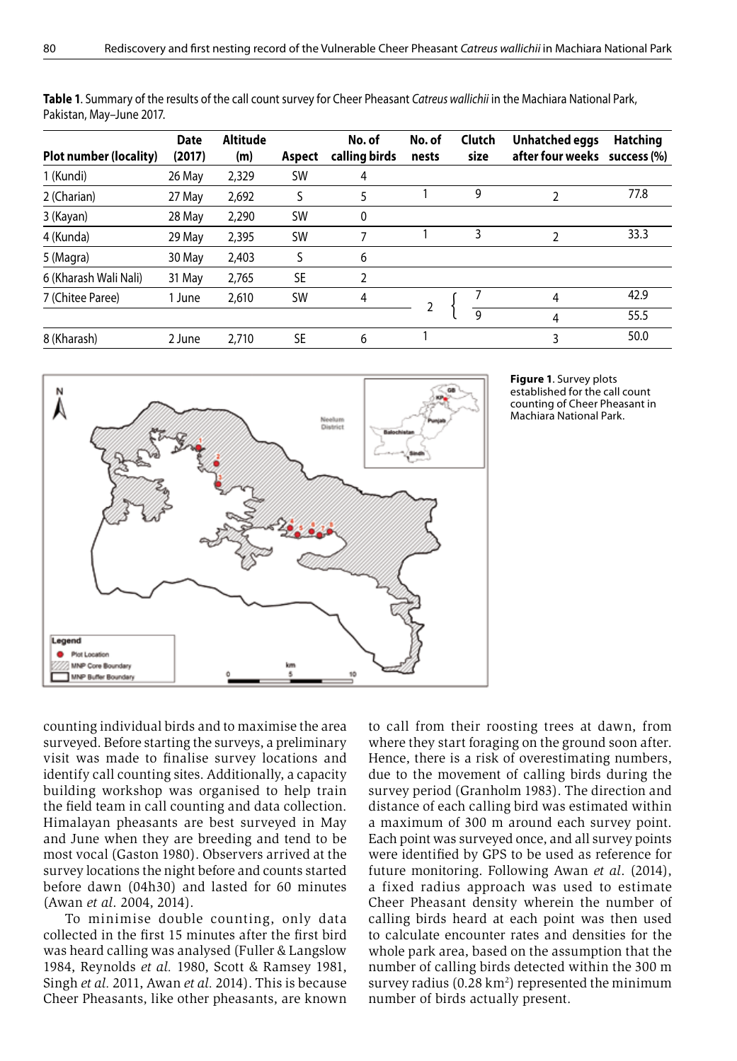| Plot number (locality) | <b>Date</b><br>(2017) | Altitude<br>(m) | Aspect    | No. of<br>calling birds | No. of<br>nests | Clutch<br>size | Unhatched eggs<br>after four weeks | <b>Hatching</b><br>success (%) |
|------------------------|-----------------------|-----------------|-----------|-------------------------|-----------------|----------------|------------------------------------|--------------------------------|
| 1 (Kundi)              | 26 May                | 2,329           | <b>SW</b> | 4                       |                 |                |                                    |                                |
| 2 (Charian)            | 27 May                | 2,692           | S         | 5                       |                 | 9              | 2                                  | 77.8                           |
| 3 (Kayan)              | 28 May                | 2,290           | <b>SW</b> | 0                       |                 |                |                                    |                                |
| 4 (Kunda)              | 29 May                | 2,395           | <b>SW</b> | 7                       |                 | 3              | 2                                  | 33.3                           |
| 5 (Magra)              | 30 May                | 2,403           | S         | 6                       |                 |                |                                    |                                |
| 6 (Kharash Wali Nali)  | 31 May                | 2,765           | SE        | 2                       |                 |                |                                    |                                |
| 7 (Chitee Paree)       | 1 June                | 2,610           | <b>SW</b> | 4                       |                 |                | 4                                  | 42.9                           |
|                        |                       |                 |           |                         |                 | $\mathsf{Q}$   | 4                                  | 55.5                           |
| 8 (Kharash)            | 2 June                | 2.710           | SE        | 6                       |                 |                | 3                                  | 50.0                           |

**Table 1**. Summary of the results of the call count survey for Cheer Pheasant *Catreus wallichii* in the Machiara National Park, Pakistan, May–June 2017.





counting individual birds and to maximise the area surveyed. Before starting the surveys, a preliminary visit was made to finalise survey locations and identify call counting sites. Additionally, a capacity building workshop was organised to help train the field team in call counting and data collection. Himalayan pheasants are best surveyed in May and June when they are breeding and tend to be most vocal (Gaston 1980). Observers arrived at the survey locations the night before and counts started before dawn (04h30) and lasted for 60 minutes (Awan *et al*. 2004, 2014).

To minimise double counting, only data collected in the first 15 minutes after the first bird was heard calling was analysed (Fuller & Langslow 1984, Reynolds *et al.* 1980, Scott & Ramsey 1981, Singh *et al.* 2011, Awan *et al.* 2014). This is because Cheer Pheasants, like other pheasants, are known to call from their roosting trees at dawn, from where they start foraging on the ground soon after. Hence, there is a risk of overestimating numbers, due to the movement of calling birds during the survey period (Granholm 1983). The direction and distance of each calling bird was estimated within a maximum of 300 m around each survey point. Each point was surveyed once, and all survey points were identified by GPS to be used as reference for future monitoring. Following Awan *et al*. (2014), a fixed radius approach was used to estimate Cheer Pheasant density wherein the number of calling birds heard at each point was then used to calculate encounter rates and densities for the whole park area, based on the assumption that the number of calling birds detected within the 300 m survey radius  $(0.28 \text{ km}^2)$  represented the minimum number of birds actually present.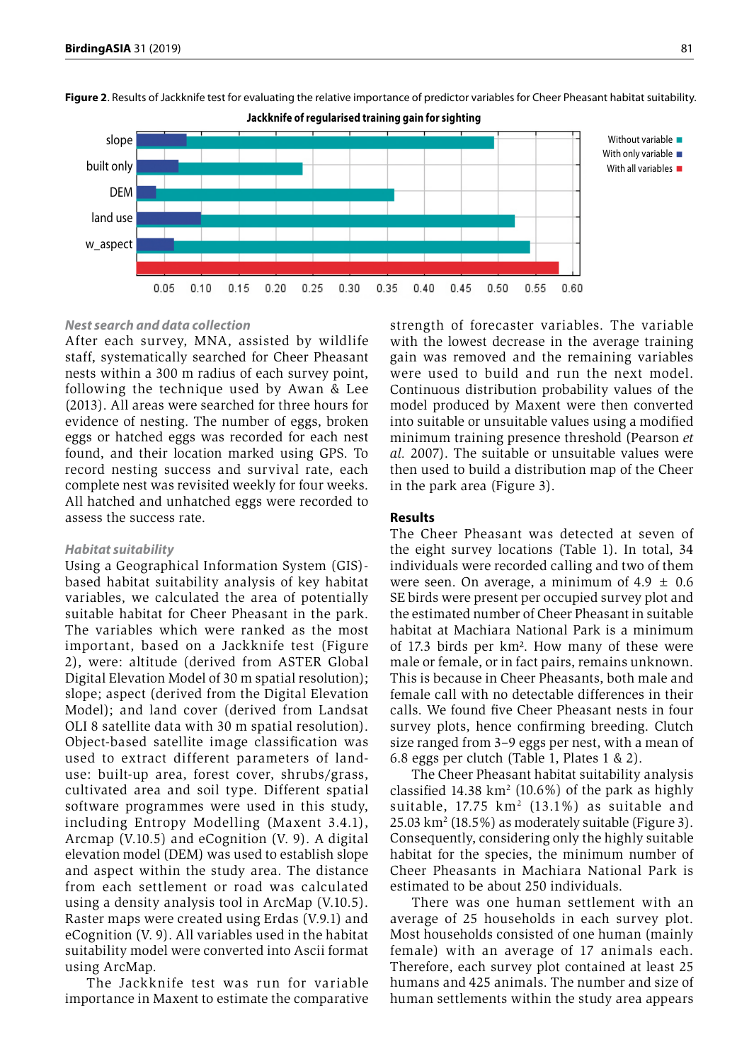

**Figure 2**. Results of Jackknife test for evaluating the relative importance of predictor variables for Cheer Pheasant habitat suitability.

# *Nest search and data collection*

After each survey, MNA, assisted by wildlife staff, systematically searched for Cheer Pheasant nests within a 300 m radius of each survey point, following the technique used by Awan & Lee (2013). All areas were searched for three hours for evidence of nesting. The number of eggs, broken eggs or hatched eggs was recorded for each nest found, and their location marked using GPS. To record nesting success and survival rate, each complete nest was revisited weekly for four weeks. All hatched and unhatched eggs were recorded to assess the success rate.

#### *Habitat suitability*

Using a Geographical Information System (GIS) based habitat suitability analysis of key habitat variables, we calculated the area of potentially suitable habitat for Cheer Pheasant in the park. The variables which were ranked as the most important, based on a Jackknife test (Figure 2), were: altitude (derived from ASTER Global Digital Elevation Model of 30 m spatial resolution); slope; aspect (derived from the Digital Elevation Model); and land cover (derived from Landsat OLI 8 satellite data with 30 m spatial resolution). Object-based satellite image classification was used to extract different parameters of landuse: built-up area, forest cover, shrubs/grass, cultivated area and soil type. Different spatial software programmes were used in this study, including Entropy Modelling (Maxent 3.4.1), Arcmap (V.10.5) and eCognition (V. 9). A digital elevation model (DEM) was used to establish slope and aspect within the study area. The distance from each settlement or road was calculated using a density analysis tool in ArcMap (V.10.5). Raster maps were created using Erdas (V.9.1) and eCognition (V. 9). All variables used in the habitat suitability model were converted into Ascii format using ArcMap.

The Jackknife test was run for variable importance in Maxent to estimate the comparative strength of forecaster variables. The variable with the lowest decrease in the average training gain was removed and the remaining variables were used to build and run the next model. Continuous distribution probability values of the model produced by Maxent were then converted into suitable or unsuitable values using a modified minimum training presence threshold (Pearson *et al.* 2007). The suitable or unsuitable values were then used to build a distribution map of the Cheer in the park area (Figure 3).

# **Results**

The Cheer Pheasant was detected at seven of the eight survey locations (Table 1). In total, 34 individuals were recorded calling and two of them were seen. On average, a minimum of  $4.9 \pm 0.6$ SE birds were present per occupied survey plot and the estimated number of Cheer Pheasant in suitable habitat at Machiara National Park is a minimum of 17.3 birds per km². How many of these were male or female, or in fact pairs, remains unknown. This is because in Cheer Pheasants, both male and female call with no detectable differences in their calls. We found five Cheer Pheasant nests in four survey plots, hence confirming breeding. Clutch size ranged from 3–9 eggs per nest, with a mean of 6.8 eggs per clutch (Table 1, Plates 1 & 2).

The Cheer Pheasant habitat suitability analysis classified  $14.38 \text{ km}^2$  (10.6%) of the park as highly suitable, 17.75 km<sup>2</sup> (13.1%) as suitable and 25.03 km2 (18.5%) as moderately suitable (Figure 3). Consequently, considering only the highly suitable habitat for the species, the minimum number of Cheer Pheasants in Machiara National Park is estimated to be about 250 individuals.

There was one human settlement with an average of 25 households in each survey plot. Most households consisted of one human (mainly female) with an average of 17 animals each. Therefore, each survey plot contained at least 25 humans and 425 animals. The number and size of human settlements within the study area appears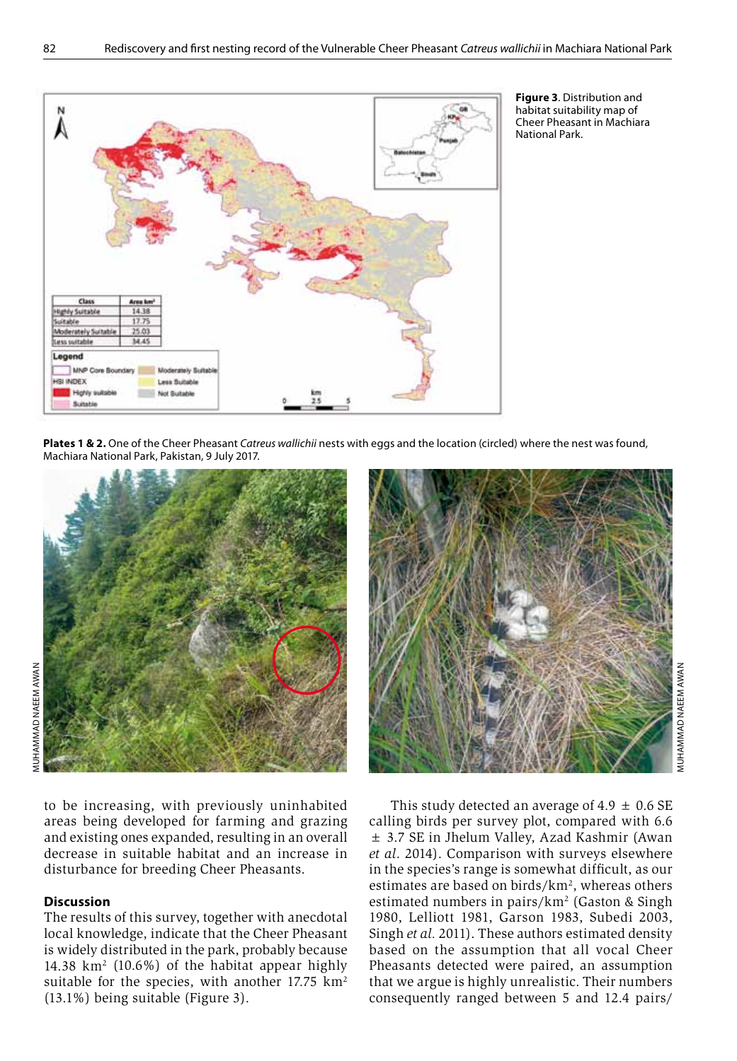

**Figure 3**. Distribution and habitat suitability map of Cheer Pheasant in Machiara National Park.

**Plates 1 & 2.** One of the Cheer Pheasant *Catreus wallichii* nests with eggs and the location (circled) where the nest was found, Machiara National Park, Pakistan, 9 July 2017.



to be increasing, with previously uninhabited areas being developed for farming and grazing and existing ones expanded, resulting in an overall decrease in suitable habitat and an increase in disturbance for breeding Cheer Pheasants.

# **Discussion**

The results of this survey, together with anecdotal local knowledge, indicate that the Cheer Pheasant is widely distributed in the park, probably because 14.38 km2 (10.6%) of the habitat appear highly suitable for the species, with another  $17.75 \text{ km}^2$ (13.1%) being suitable (Figure 3).



MUHAMMAD NAEEM AWAN *AUHAMMAD NAEEM AWAN* 

This study detected an average of 4.9  $\pm$  0.6 SE calling birds per survey plot, compared with 6.6 ± 3.7 SE in Jhelum Valley, Azad Kashmir (Awan *et al*. 2014). Comparison with surveys elsewhere in the species's range is somewhat difficult, as our estimates are based on birds/ $km^2$ , whereas others estimated numbers in pairs/km<sup>2</sup> (Gaston & Singh 1980, Lelliott 1981, Garson 1983, Subedi 2003, Singh *et al.* 2011). These authors estimated density based on the assumption that all vocal Cheer Pheasants detected were paired, an assumption that we argue is highly unrealistic. Their numbers consequently ranged between 5 and 12.4 pairs/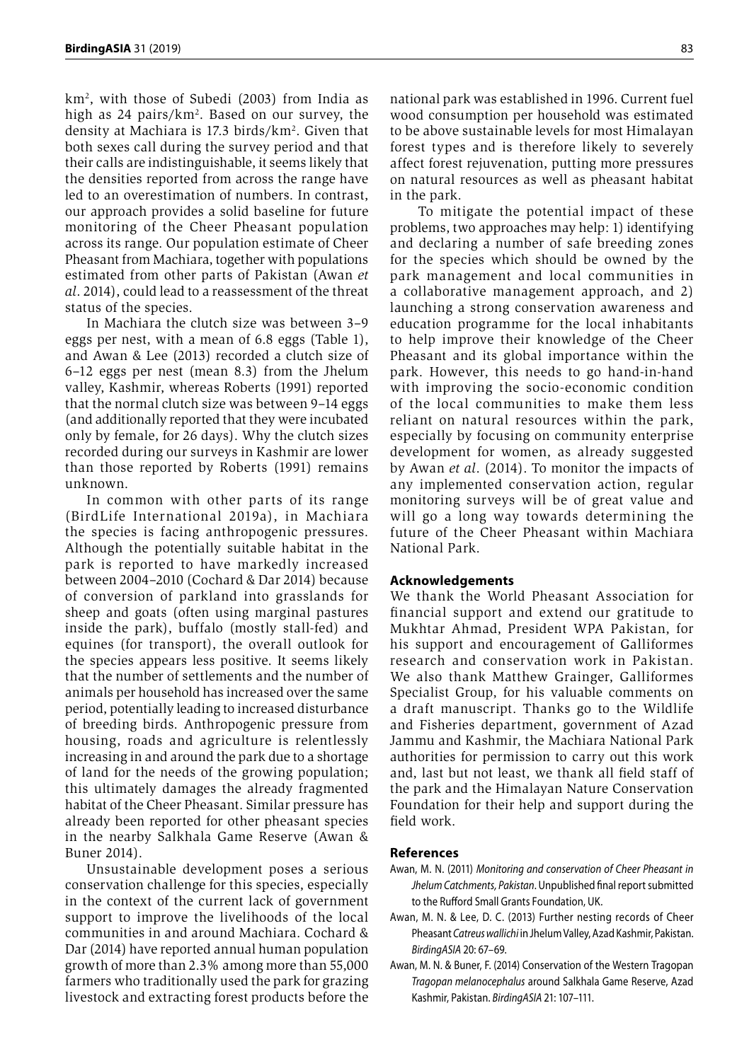km2 , with those of Subedi (2003) from India as high as 24 pairs/km<sup>2</sup>. Based on our survey, the density at Machiara is 17.3 birds/km<sup>2</sup>. Given that both sexes call during the survey period and that their calls are indistinguishable, it seems likely that the densities reported from across the range have led to an overestimation of numbers. In contrast, our approach provides a solid baseline for future monitoring of the Cheer Pheasant population across its range. Our population estimate of Cheer Pheasant from Machiara, together with populations estimated from other parts of Pakistan (Awan *et al*. 2014), could lead to a reassessment of the threat status of the species.

In Machiara the clutch size was between 3–9 eggs per nest, with a mean of 6.8 eggs (Table 1), and Awan & Lee (2013) recorded a clutch size of 6–12 eggs per nest (mean 8.3) from the Jhelum valley, Kashmir, whereas Roberts (1991) reported that the normal clutch size was between 9–14 eggs (and additionally reported that they were incubated only by female, for 26 days). Why the clutch sizes recorded during our surveys in Kashmir are lower than those reported by Roberts (1991) remains unknown.

In common with other parts of its range (BirdLife International 2019a), in Machiara the species is facing anthropogenic pressures. Although the potentially suitable habitat in the park is reported to have markedly increased between 2004–2010 (Cochard & Dar 2014) because of conversion of parkland into grasslands for sheep and goats (often using marginal pastures inside the park), buffalo (mostly stall-fed) and equines (for transport), the overall outlook for the species appears less positive. It seems likely that the number of settlements and the number of animals per household has increased over the same period, potentially leading to increased disturbance of breeding birds. Anthropogenic pressure from housing, roads and agriculture is relentlessly increasing in and around the park due to a shortage of land for the needs of the growing population; this ultimately damages the already fragmented habitat of the Cheer Pheasant. Similar pressure has already been reported for other pheasant species in the nearby Salkhala Game Reserve (Awan & Buner 2014).

Unsustainable development poses a serious conservation challenge for this species, especially in the context of the current lack of government support to improve the livelihoods of the local communities in and around Machiara. Cochard & Dar (2014) have reported annual human population growth of more than 2.3% among more than 55,000 farmers who traditionally used the park for grazing livestock and extracting forest products before the

national park was established in 1996. Current fuel wood consumption per household was estimated to be above sustainable levels for most Himalayan forest types and is therefore likely to severely affect forest rejuvenation, putting more pressures on natural resources as well as pheasant habitat in the park.

 To mitigate the potential impact of these problems, two approaches may help: 1) identifying and declaring a number of safe breeding zones for the species which should be owned by the park management and local communities in a collaborative management approach, and 2) launching a strong conservation awareness and education programme for the local inhabitants to help improve their knowledge of the Cheer Pheasant and its global importance within the park. However, this needs to go hand-in-hand with improving the socio-economic condition of the local communities to make them less reliant on natural resources within the park, especially by focusing on community enterprise development for women, as already suggested by Awan *et al*. (2014). To monitor the impacts of any implemented conservation action, regular monitoring surveys will be of great value and will go a long way towards determining the future of the Cheer Pheasant within Machiara National Park.

## **Acknowledgements**

We thank the World Pheasant Association for financial support and extend our gratitude to Mukhtar Ahmad, President WPA Pakistan, for his support and encouragement of Galliformes research and conservation work in Pakistan. We also thank Matthew Grainger, Galliformes Specialist Group, for his valuable comments on a draft manuscript. Thanks go to the Wildlife and Fisheries department, government of Azad Jammu and Kashmir, the Machiara National Park authorities for permission to carry out this work and, last but not least, we thank all field staff of the park and the Himalayan Nature Conservation Foundation for their help and support during the field work.

#### **References**

- Awan, M. N. (2011) *Monitoring and conservation of Cheer Pheasant in Jhelum Catchments, Pakistan*. Unpublished final report submitted to the Rufford Small Grants Foundation, UK.
- Awan, M. N. & Lee, D. C. (2013) Further nesting records of Cheer Pheasant *Catreus wallichi* in Jhelum Valley, Azad Kashmir, Pakistan. *BirdingASIA* 20: 67–69.
- Awan, M. N. & Buner, F. (2014) Conservation of the Western Tragopan *Tragopan melanocephalus* around Salkhala Game Reserve, Azad Kashmir, Pakistan. *BirdingASIA* 21: 107–111.